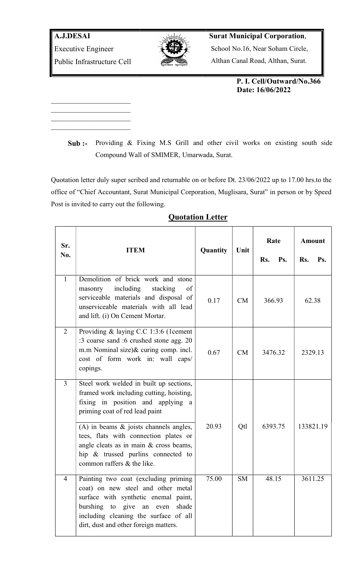

## Surat Municipal Corporation,

School No.16, Near Soham Circle,

Althan Canal Road, Althan, Surat.

 P. I. Cell/Outward/No.366 Date: 16/06/2022

Sub :- Providing & Fixing M.S Grill and other civil works on existing south side Compound Wall of SMIMER, Umarwada, Surat.

Quotation letter duly super scribed and returnable on or before Dt. 23/06/2022 up to 17.00 hrs.to the office of "Chief Accountant, Surat Municipal Corporation, Muglisara, Surat" in person or by Speed Post is invited to carry out the following.

| Sr.<br>No.     | <b>ITEM</b>                                                                                                                                                                                                                            | Quantity | Unit      | Rate<br>Ps.<br>Rs. | <b>Amount</b><br>Rs.<br>Ps. |
|----------------|----------------------------------------------------------------------------------------------------------------------------------------------------------------------------------------------------------------------------------------|----------|-----------|--------------------|-----------------------------|
| $\mathbf{1}$   | Demolition of brick work and stone<br>including<br>stacking<br>masonry<br>of<br>serviceable materials and disposal of<br>unserviceable materials with all lead<br>and lift. (i) On Cement Mortar.                                      | 0.17     | CM        | 366.93             | 62.38                       |
| 2              | Providing & laying C.C 1:3:6 (1cement<br>:3 coarse sand :6 crushed stone agg. 20<br>m.m Nominal size)& curing comp. incl.<br>cost of form work in: wall caps/<br>copings.                                                              | 0.67     | CM        | 3476.32            | 2329.13                     |
| $\overline{3}$ | Steel work welded in built up sections,<br>framed work including cutting, hoisting,<br>fixing in position and applying<br>a<br>priming coat of red lead paint                                                                          |          |           |                    |                             |
|                | $(A)$ in beams $\&$ joists channels angles,<br>tees, flats with connection plates or<br>angle cleats as in main & cross beams,<br>hip & trussed purlins connected to<br>common raffers & the like.                                     | 20.93    | Qtl       | 6393.75            | 133821.19                   |
| $\overline{4}$ | Painting two coat (excluding priming<br>coat) on new steel and other metal<br>surface with synthetic enemal paint,<br>burshing to give an even shade<br>including cleaning the surface of all<br>dirt, dust and other foreign matters. | 75.00    | <b>SM</b> | 48.15              | 3611.25                     |

## Quotation Letter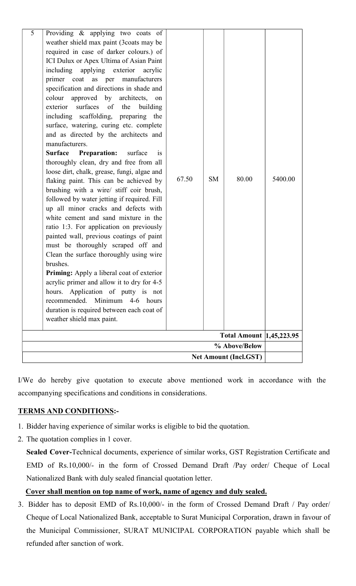| 5 | Providing & applying two coats of<br>weather shield max paint (3coats may be<br>required in case of darker colours.) of<br>ICI Dulux or Apex Ultima of Asian Paint<br>including applying exterior acrylic<br>primer coat as per manufacturers<br>specification and directions in shade and<br>colour approved by architects,<br>on<br>surfaces of<br>the<br>exterior<br>building<br>including scaffolding, preparing the<br>surface, watering, curing etc. complete<br>and as directed by the architects and<br>manufacturers.<br><b>Surface</b><br><b>Preparation:</b><br>surface<br>$\overline{1}S$<br>thoroughly clean, dry and free from all<br>loose dirt, chalk, grease, fungi, algae and<br>flaking paint. This can be achieved by<br>brushing with a wire/ stiff coir brush,<br>followed by water jetting if required. Fill<br>up all minor cracks and defects with<br>white cement and sand mixture in the<br>ratio 1:3. For application on previously<br>painted wall, previous coatings of paint<br>must be thoroughly scraped off and<br>Clean the surface thoroughly using wire<br>brushes.<br><b>Priming:</b> Apply a liberal coat of exterior<br>acrylic primer and allow it to dry for 4-5<br>hours. Application of putty is not<br>recommended. Minimum 4-6 hours<br>duration is required between each coat of<br>weather shield max paint. | 67.50 | <b>SM</b> | 80.00 | 5400.00 |  |  |  |
|---|--------------------------------------------------------------------------------------------------------------------------------------------------------------------------------------------------------------------------------------------------------------------------------------------------------------------------------------------------------------------------------------------------------------------------------------------------------------------------------------------------------------------------------------------------------------------------------------------------------------------------------------------------------------------------------------------------------------------------------------------------------------------------------------------------------------------------------------------------------------------------------------------------------------------------------------------------------------------------------------------------------------------------------------------------------------------------------------------------------------------------------------------------------------------------------------------------------------------------------------------------------------------------------------------------------------------------------------------------------------|-------|-----------|-------|---------|--|--|--|
|   | <b>Total Amount  1,45,223.95</b>                                                                                                                                                                                                                                                                                                                                                                                                                                                                                                                                                                                                                                                                                                                                                                                                                                                                                                                                                                                                                                                                                                                                                                                                                                                                                                                             |       |           |       |         |  |  |  |
|   | % Above/Below                                                                                                                                                                                                                                                                                                                                                                                                                                                                                                                                                                                                                                                                                                                                                                                                                                                                                                                                                                                                                                                                                                                                                                                                                                                                                                                                                |       |           |       |         |  |  |  |
|   | <b>Net Amount (Incl.GST)</b>                                                                                                                                                                                                                                                                                                                                                                                                                                                                                                                                                                                                                                                                                                                                                                                                                                                                                                                                                                                                                                                                                                                                                                                                                                                                                                                                 |       |           |       |         |  |  |  |
|   |                                                                                                                                                                                                                                                                                                                                                                                                                                                                                                                                                                                                                                                                                                                                                                                                                                                                                                                                                                                                                                                                                                                                                                                                                                                                                                                                                              |       |           |       |         |  |  |  |

I/We do hereby give quotation to execute above mentioned work in accordance with the accompanying specifications and conditions in considerations.

## TERMS AND CONDITIONS:-

- 1. Bidder having experience of similar works is eligible to bid the quotation.
- 2. The quotation complies in 1 cover.

 Sealed Cover-Technical documents, experience of similar works, GST Registration Certificate and EMD of Rs.10,000/- in the form of Crossed Demand Draft /Pay order/ Cheque of Local Nationalized Bank with duly sealed financial quotation letter.

## Cover shall mention on top name of work, name of agency and duly sealed.

3. Bidder has to deposit EMD of Rs.10,000/- in the form of Crossed Demand Draft / Pay order/ Cheque of Local Nationalized Bank, acceptable to Surat Municipal Corporation, drawn in favour of the Municipal Commissioner, SURAT MUNICIPAL CORPORATION payable which shall be refunded after sanction of work.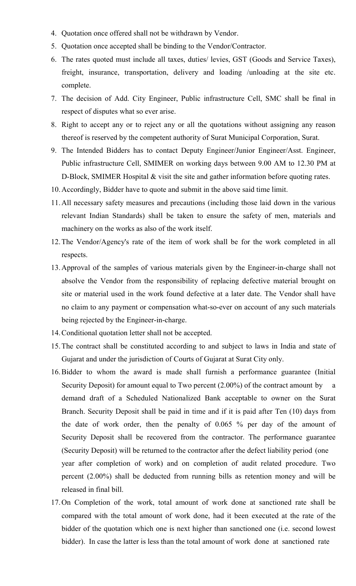- 4. Quotation once offered shall not be withdrawn by Vendor.
- 5. Quotation once accepted shall be binding to the Vendor/Contractor.
- 6. The rates quoted must include all taxes, duties/ levies, GST (Goods and Service Taxes), freight, insurance, transportation, delivery and loading /unloading at the site etc. complete.
- 7. The decision of Add. City Engineer, Public infrastructure Cell, SMC shall be final in respect of disputes what so ever arise.
- 8. Right to accept any or to reject any or all the quotations without assigning any reason thereof is reserved by the competent authority of Surat Municipal Corporation, Surat.
- 9. The Intended Bidders has to contact Deputy Engineer/Junior Engineer/Asst. Engineer, Public infrastructure Cell, SMIMER on working days between 9.00 AM to 12.30 PM at D-Block, SMIMER Hospital & visit the site and gather information before quoting rates.
- 10.Accordingly, Bidder have to quote and submit in the above said time limit.
- 11.All necessary safety measures and precautions (including those laid down in the various relevant Indian Standards) shall be taken to ensure the safety of men, materials and machinery on the works as also of the work itself.
- 12.The Vendor/Agency's rate of the item of work shall be for the work completed in all respects.
- 13.Approval of the samples of various materials given by the Engineer-in-charge shall not absolve the Vendor from the responsibility of replacing defective material brought on site or material used in the work found defective at a later date. The Vendor shall have no claim to any payment or compensation what-so-ever on account of any such materials being rejected by the Engineer-in-charge.
- 14.Conditional quotation letter shall not be accepted.
- 15.The contract shall be constituted according to and subject to laws in India and state of Gujarat and under the jurisdiction of Courts of Gujarat at Surat City only.
- 16.Bidder to whom the award is made shall furnish a performance guarantee (Initial Security Deposit) for amount equal to Two percent (2.00%) of the contract amount by a demand draft of a Scheduled Nationalized Bank acceptable to owner on the Surat Branch. Security Deposit shall be paid in time and if it is paid after Ten (10) days from the date of work order, then the penalty of 0.065 % per day of the amount of Security Deposit shall be recovered from the contractor. The performance guarantee (Security Deposit) will be returned to the contractor after the defect liability period (one year after completion of work) and on completion of audit related procedure. Two percent (2.00%) shall be deducted from running bills as retention money and will be released in final bill.
- 17.On Completion of the work, total amount of work done at sanctioned rate shall be compared with the total amount of work done, had it been executed at the rate of the bidder of the quotation which one is next higher than sanctioned one (i.e. second lowest bidder). In case the latter is less than the total amount of work done at sanctioned rate